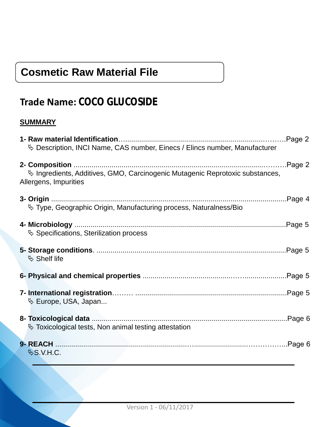# **Cosmetic Raw Material File**

# **Trade Name: COCO GLUCOSIDE**

# **SUMMARY**

| Description, INCI Name, CAS number, Einecs / Elincs number, Manufacturer                               |
|--------------------------------------------------------------------------------------------------------|
| Vo Ingredients, Additives, GMO, Carcinogenic Mutagenic Reprotoxic substances,<br>Allergens, Impurities |
| <sup>†</sup> Type, Geographic Origin, Manufacturing process, Naturalness/Bio                           |
| <b>↓ Specifications, Sterilization process</b>                                                         |
| $\mathfrak{G}$ Shelf life                                                                              |
|                                                                                                        |
| $\mathfrak{B}$ Europe, USA, Japan                                                                      |
| $\%$ Toxicological tests, Non animal testing attestation                                               |
| $\&$ S.V.H.C.                                                                                          |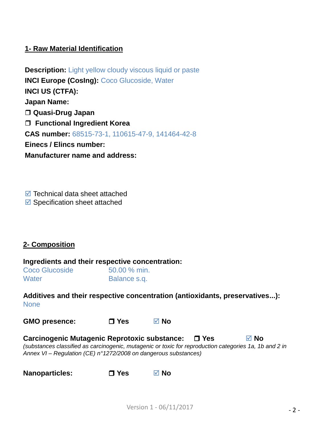## **1- Raw Material Identification**

**Description:** Light yellow cloudy viscous liquid or paste **INCI Europe (CosIng): Coco Glucoside, Water INCI US (CTFA): Japan Name: Quasi-Drug Japan Functional Ingredient Korea CAS number:** 68515-73-1, 110615-47-9, 141464-42-8 **Einecs / Elincs number: Manufacturer name and address:**

 $\blacksquare$  Technical data sheet attached  $\blacksquare$  Specification sheet attached

#### **2- Composition**

#### **Ingredients and their respective concentration:**

| <b>Coco Glucoside</b> | 50.00 % min. |
|-----------------------|--------------|
| Water                 | Balance s.q. |

**Additives and their respective concentration (antioxidants, preservatives...): None** 

**GMO presence: Yes No**

**Carcinogenic Mutagenic Reprotoxic substance: Yes No** *(substances classified as carcinogenic, mutagenic or toxic for reproduction categories 1a, 1b and 2 in Annex VI – Regulation (CE) n°1272/2008 on dangerous substances)*

**Nanoparticles:** □ Yes **Ø** No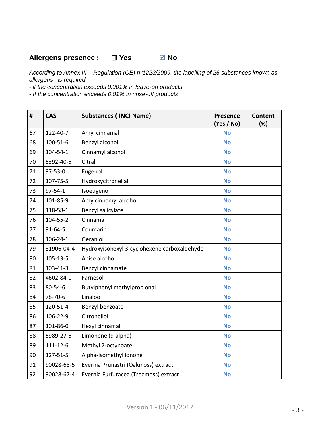# **Allergens presence : □ Yes Ø No**

*According to Annex III – Regulation (CE) n°1223/2009, the labelling of 26 substances known as allergens , is required:*

*- if the concentration exceeds 0.001% in leave-on products*

*- If the concentration exceeds 0.01% in rinse-off products*

| #  | <b>CAS</b>     | <b>Substances (INCI Name)</b>                | <b>Presence</b><br>(Yes / No) | <b>Content</b><br>(%) |
|----|----------------|----------------------------------------------|-------------------------------|-----------------------|
| 67 | 122-40-7       | Amyl cinnamal                                | <b>No</b>                     |                       |
| 68 | 100-51-6       | Benzyl alcohol                               | <b>No</b>                     |                       |
| 69 | $104 - 54 - 1$ | Cinnamyl alcohol                             | <b>No</b>                     |                       |
| 70 | 5392-40-5      | Citral                                       | <b>No</b>                     |                       |
| 71 | 97-53-0        | Eugenol                                      | <b>No</b>                     |                       |
| 72 | 107-75-5       | Hydroxycitronellal                           | <b>No</b>                     |                       |
| 73 | $97 - 54 - 1$  | Isoeugenol                                   | <b>No</b>                     |                       |
| 74 | 101-85-9       | Amylcinnamyl alcohol                         | <b>No</b>                     |                       |
| 75 | 118-58-1       | Benzyl salicylate                            | <b>No</b>                     |                       |
| 76 | 104-55-2       | Cinnamal                                     | <b>No</b>                     |                       |
| 77 | $91 - 64 - 5$  | Coumarin                                     | <b>No</b>                     |                       |
| 78 | $106 - 24 - 1$ | Geraniol                                     | <b>No</b>                     |                       |
| 79 | 31906-04-4     | Hydroxyisohexyl 3-cyclohexene carboxaldehyde | <b>No</b>                     |                       |
| 80 | $105 - 13 - 5$ | Anise alcohol                                | <b>No</b>                     |                       |
| 81 | $103 - 41 - 3$ | Benzyl cinnamate                             | <b>No</b>                     |                       |
| 82 | 4602-84-0      | Farnesol                                     | <b>No</b>                     |                       |
| 83 | 80-54-6        | Butylphenyl methylpropional                  | <b>No</b>                     |                       |
| 84 | 78-70-6        | Linalool                                     | <b>No</b>                     |                       |
| 85 | 120-51-4       | Benzyl benzoate                              | <b>No</b>                     |                       |
| 86 | 106-22-9       | Citronellol                                  | <b>No</b>                     |                       |
| 87 | 101-86-0       | Hexyl cinnamal                               | <b>No</b>                     |                       |
| 88 | 5989-27-5      | Limonene (d-alpha)                           | <b>No</b>                     |                       |
| 89 | $111 - 12 - 6$ | Methyl 2-octynoate                           | <b>No</b>                     |                       |
| 90 | 127-51-5       | Alpha-isomethyl ionone                       | <b>No</b>                     |                       |
| 91 | 90028-68-5     | Evernia Prunastri (Oakmoss) extract          | <b>No</b>                     |                       |
| 92 | 90028-67-4     | Evernia Furfuracea (Treemoss) extract        | <b>No</b>                     |                       |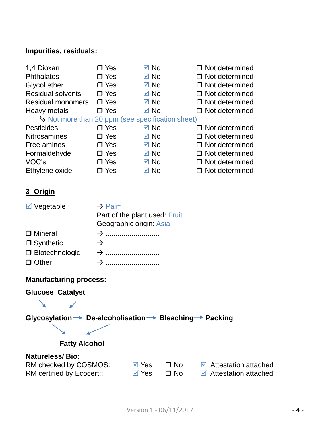# **Impurities, residuals:**

| 1,4 Dioxan<br><b>Phthalates</b><br>Glycol ether<br><b>Residual solvents</b><br><b>Residual monomers</b><br>Heavy metals | $\Box$ Yes<br>$\Box$ Yes<br>$\Box$ Yes<br>$\Box$ Yes<br>$\Box$ Yes<br>$\Box$ Yes                                 | $\boxtimes$ No<br>$\boxdot$ No<br>$\boxtimes$ No<br>$\boxtimes$ No<br>$\boxtimes$ No<br>$\boxtimes$ No | $\Box$ Not determined<br>$\Box$ Not determined<br>$\Box$ Not determined<br>$\Box$ Not determined<br>$\Box$ Not determined<br>$\Box$ Not determined |  |  |
|-------------------------------------------------------------------------------------------------------------------------|------------------------------------------------------------------------------------------------------------------|--------------------------------------------------------------------------------------------------------|----------------------------------------------------------------------------------------------------------------------------------------------------|--|--|
| $\mathfrak b$ Not more than 20 ppm (see specification sheet)                                                            |                                                                                                                  |                                                                                                        |                                                                                                                                                    |  |  |
| Pesticides                                                                                                              | $\Box$ Yes                                                                                                       | $\boxtimes$ No                                                                                         | □ Not determined                                                                                                                                   |  |  |
| <b>Nitrosamines</b>                                                                                                     | $\Box$ Yes                                                                                                       | $\boxtimes$ No                                                                                         | $\Box$ Not determined                                                                                                                              |  |  |
| Free amines                                                                                                             | $\Box$ Yes                                                                                                       | $\boxtimes$ No                                                                                         | $\Box$ Not determined                                                                                                                              |  |  |
| Formaldehyde                                                                                                            | $\Box$ Yes                                                                                                       | $\boxtimes$ No                                                                                         | $\Box$ Not determined                                                                                                                              |  |  |
| VOC's                                                                                                                   | $\Box$ Yes                                                                                                       | $\boxtimes$ No                                                                                         | $\Box$ Not determined                                                                                                                              |  |  |
| Ethylene oxide                                                                                                          | $\Box$ Yes                                                                                                       | $\boxdot$ No                                                                                           | $\Box$ Not determined                                                                                                                              |  |  |
| <u>3- Origin</u><br>$\boxdot$ Vegetable<br><b>D</b> Mineral<br>$\Box$ Synthetic<br>□ Biotechnologic<br>$\Box$ Other     | $\rightarrow$ Palm<br>Part of the plant used: Fruit<br>Geographic origin: Asia<br>$\rightarrow$<br>$\rightarrow$ |                                                                                                        |                                                                                                                                                    |  |  |
| <b>Manufacturing process:</b>                                                                                           |                                                                                                                  |                                                                                                        |                                                                                                                                                    |  |  |
| <b>Glucose Catalyst</b>                                                                                                 |                                                                                                                  |                                                                                                        |                                                                                                                                                    |  |  |
|                                                                                                                         |                                                                                                                  |                                                                                                        |                                                                                                                                                    |  |  |
| Glycosylation→ De-alcoholisation→ Bleaching→ Packing                                                                    |                                                                                                                  |                                                                                                        |                                                                                                                                                    |  |  |
|                                                                                                                         |                                                                                                                  |                                                                                                        |                                                                                                                                                    |  |  |
|                                                                                                                         |                                                                                                                  |                                                                                                        |                                                                                                                                                    |  |  |
| <b>Fatty Alcohol</b>                                                                                                    |                                                                                                                  |                                                                                                        |                                                                                                                                                    |  |  |

# **Natureless/ Bio:**

| RM checked by COSMOS:     | ⊠ Yes | ി No | <b>■</b> Attestation attached       |
|---------------------------|-------|------|-------------------------------------|
| RM certified by Ecocert:: | ⊠ Yes | ⊟ No | $\blacksquare$ Attestation attached |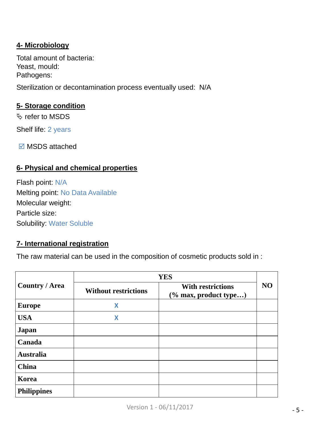# **4- Microbiology**

Total amount of bacteria: Yeast, mould: Pathogens:

Sterilization or decontamination process eventually used: N/A

# **5- Storage condition**

refer to MSDS

Shelf life: 2 years

 $\boxdot$  MSDS attached

## **6- Physical and chemical properties**

Flash point: N/A Melting point: No Data Available Molecular weight: Particle size: Solubility: Water Soluble

#### **7- International registration**

The raw material can be used in the composition of cosmetic products sold in :

|                       | <b>YES</b>                  |                                                      |                |  |
|-----------------------|-----------------------------|------------------------------------------------------|----------------|--|
| <b>Country / Area</b> | <b>Without restrictions</b> | <b>With restrictions</b><br>$(\%$ max, product type) | N <sub>O</sub> |  |
| <b>Europe</b>         | X                           |                                                      |                |  |
| <b>USA</b>            | X                           |                                                      |                |  |
| Japan                 |                             |                                                      |                |  |
| Canada                |                             |                                                      |                |  |
| <b>Australia</b>      |                             |                                                      |                |  |
| China                 |                             |                                                      |                |  |
| Korea                 |                             |                                                      |                |  |
| <b>Philippines</b>    |                             |                                                      |                |  |